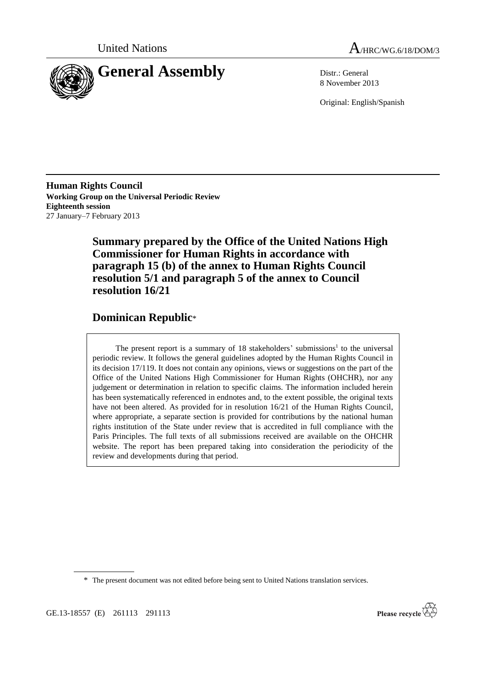



8 November 2013

Original: English/Spanish

**Human Rights Council Working Group on the Universal Periodic Review Eighteenth session** 27 January–7 February 2013

> **Summary prepared by the Office of the United Nations High Commissioner for Human Rights in accordance with paragraph 15 (b) of the annex to Human Rights Council resolution 5/1 and paragraph 5 of the annex to Council resolution 16/21**

# **Dominican Republic**\*

The present report is a summary of  $18$  stakeholders' submissions<sup>1</sup> to the universal periodic review. It follows the general guidelines adopted by the Human Rights Council in its decision 17/119. It does not contain any opinions, views or suggestions on the part of the Office of the United Nations High Commissioner for Human Rights (OHCHR), nor any judgement or determination in relation to specific claims. The information included herein has been systematically referenced in endnotes and, to the extent possible, the original texts have not been altered. As provided for in resolution 16/21 of the Human Rights Council, where appropriate, a separate section is provided for contributions by the national human rights institution of the State under review that is accredited in full compliance with the Paris Principles. The full texts of all submissions received are available on the OHCHR website. The report has been prepared taking into consideration the periodicity of the review and developments during that period.

\* The present document was not edited before being sent to United Nations translation services.

GE.13-18557 (E) 261113 291113

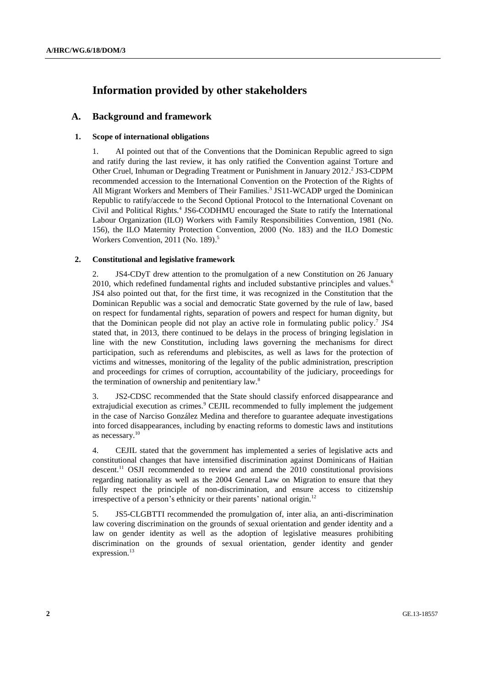# **Information provided by other stakeholders**

## **A. Background and framework**

## **1. Scope of international obligations**

1. AI pointed out that of the Conventions that the Dominican Republic agreed to sign and ratify during the last review, it has only ratified the Convention against Torture and Other Cruel, Inhuman or Degrading Treatment or Punishment in January 2012.<sup>2</sup> JS3-CDPM recommended accession to the International Convention on the Protection of the Rights of All Migrant Workers and Members of Their Families. 3 JS11-WCADP urged the Dominican Republic to ratify/accede to the Second Optional Protocol to the International Covenant on Civil and Political Rights.<sup>4</sup> JS6-CODHMU encouraged the State to ratify the International Labour Organization (ILO) Workers with Family Responsibilities Convention, 1981 (No. 156), the ILO Maternity Protection Convention, 2000 (No. 183) and the ILO Domestic Workers Convention, 2011 (No. 189). 5

## **2. Constitutional and legislative framework**

2. JS4-CDyT drew attention to the promulgation of a new Constitution on 26 January 2010, which redefined fundamental rights and included substantive principles and values.<sup>6</sup> JS4 also pointed out that, for the first time, it was recognized in the Constitution that the Dominican Republic was a social and democratic State governed by the rule of law, based on respect for fundamental rights, separation of powers and respect for human dignity, but that the Dominican people did not play an active role in formulating public policy.<sup>7</sup> JS4 stated that, in 2013, there continued to be delays in the process of bringing legislation in line with the new Constitution, including laws governing the mechanisms for direct participation, such as referendums and plebiscites, as well as laws for the protection of victims and witnesses, monitoring of the legality of the public administration, prescription and proceedings for crimes of corruption, accountability of the judiciary, proceedings for the termination of ownership and penitentiary law.<sup>8</sup>

3. JS2-CDSC recommended that the State should classify enforced disappearance and extrajudicial execution as crimes.<sup>9</sup> CEJIL recommended to fully implement the judgement in the case of Narciso González Medina and therefore to guarantee adequate investigations into forced disappearances, including by enacting reforms to domestic laws and institutions as necessary. 10

4. CEJIL stated that the government has implemented a series of legislative acts and constitutional changes that have intensified discrimination against Dominicans of Haitian descent. <sup>11</sup> OSJI recommended to review and amend the 2010 constitutional provisions regarding nationality as well as the 2004 General Law on Migration to ensure that they fully respect the principle of non-discrimination, and ensure access to citizenship irrespective of a person's ethnicity or their parents' national origin.<sup>12</sup>

5. JS5-CLGBTTI recommended the promulgation of, inter alia, an anti-discrimination law covering discrimination on the grounds of sexual orientation and gender identity and a law on gender identity as well as the adoption of legislative measures prohibiting discrimination on the grounds of sexual orientation, gender identity and gender expression.<sup>13</sup>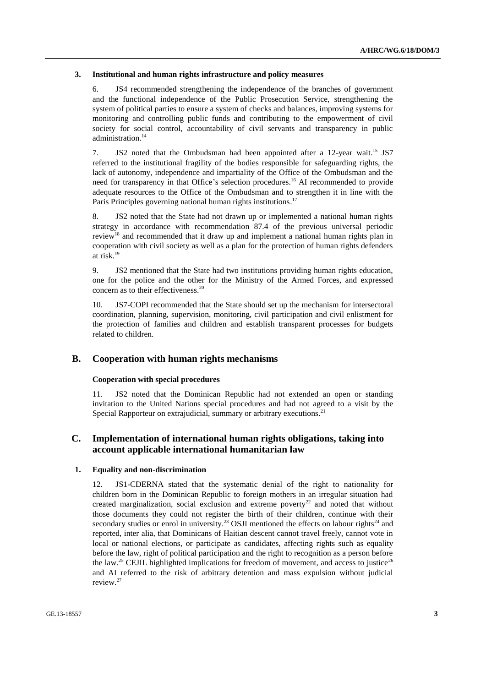#### **3. Institutional and human rights infrastructure and policy measures**

6. JS4 recommended strengthening the independence of the branches of government and the functional independence of the Public Prosecution Service, strengthening the system of political parties to ensure a system of checks and balances, improving systems for monitoring and controlling public funds and contributing to the empowerment of civil society for social control, accountability of civil servants and transparency in public administration. 14

7. JS2 noted that the Ombudsman had been appointed after a 12-year wait.<sup>15</sup> JS7 referred to the institutional fragility of the bodies responsible for safeguarding rights, the lack of autonomy, independence and impartiality of the Office of the Ombudsman and the need for transparency in that Office's selection procedures.<sup>16</sup> AI recommended to provide adequate resources to the Office of the Ombudsman and to strengthen it in line with the Paris Principles governing national human rights institutions.<sup>17</sup>

8. JS2 noted that the State had not drawn up or implemented a national human rights strategy in accordance with recommendation 87.4 of the previous universal periodic review<sup>18</sup> and recommended that it draw up and implement a national human rights plan in cooperation with civil society as well as a plan for the protection of human rights defenders at risk. 19

9. JS2 mentioned that the State had two institutions providing human rights education, one for the police and the other for the Ministry of the Armed Forces, and expressed concern as to their effectiveness. 20

10. JS7-COPI recommended that the State should set up the mechanism for intersectoral coordination, planning, supervision, monitoring, civil participation and civil enlistment for the protection of families and children and establish transparent processes for budgets related to children.

#### **B. Cooperation with human rights mechanisms**

## **Cooperation with special procedures**

11. JS2 noted that the Dominican Republic had not extended an open or standing invitation to the United Nations special procedures and had not agreed to a visit by the Special Rapporteur on extrajudicial, summary or arbitrary executions.<sup>21</sup>

## **C. Implementation of international human rights obligations, taking into account applicable international humanitarian law**

#### **1. Equality and non-discrimination**

12. JS1-CDERNA stated that the systematic denial of the right to nationality for children born in the Dominican Republic to foreign mothers in an irregular situation had created marginalization, social exclusion and extreme poverty<sup>22</sup> and noted that without those documents they could not register the birth of their children, continue with their secondary studies or enrol in university.<sup>23</sup> OSJI mentioned the effects on labour rights<sup>24</sup> and reported, inter alia, that Dominicans of Haitian descent cannot travel freely, cannot vote in local or national elections, or participate as candidates, affecting rights such as equality before the law, right of political participation and the right to recognition as a person before the law.<sup>25</sup> CEJIL highlighted implications for freedom of movement, and access to justice<sup>26</sup> and AI referred to the risk of arbitrary detention and mass expulsion without judicial review. 27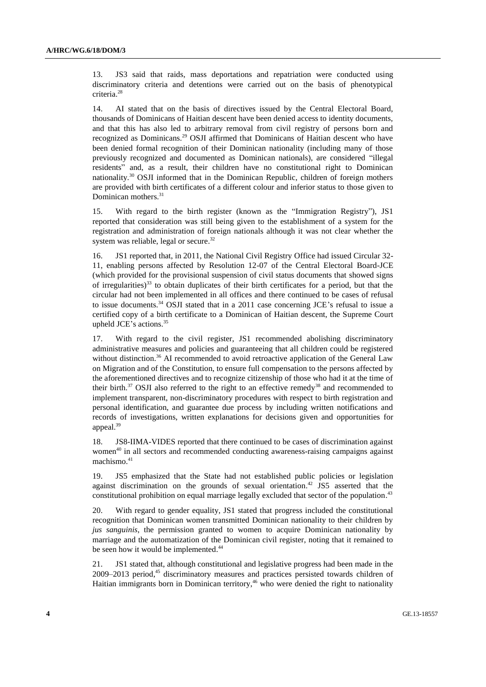13. JS3 said that raids, mass deportations and repatriation were conducted using discriminatory criteria and detentions were carried out on the basis of phenotypical criteria. 28

14. AI stated that on the basis of directives issued by the Central Electoral Board, thousands of Dominicans of Haitian descent have been denied access to identity documents, and that this has also led to arbitrary removal from civil registry of persons born and recognized as Dominicans.<sup>29</sup> OSJI affirmed that Dominicans of Haitian descent who have been denied formal recognition of their Dominican nationality (including many of those previously recognized and documented as Dominican nationals), are considered "illegal residents" and, as a result, their children have no constitutional right to Dominican nationality.<sup>30</sup> OSJI informed that in the Dominican Republic, children of foreign mothers are provided with birth certificates of a different colour and inferior status to those given to Dominican mothers. 31

15. With regard to the birth register (known as the "Immigration Registry"), JS1 reported that consideration was still being given to the establishment of a system for the registration and administration of foreign nationals although it was not clear whether the system was reliable, legal or secure.<sup>32</sup>

16. JS1 reported that, in 2011, the National Civil Registry Office had issued Circular 32- 11, enabling persons affected by Resolution 12-07 of the Central Electoral Board-JCE (which provided for the provisional suspension of civil status documents that showed signs of irregularities) $^{33}$  to obtain duplicates of their birth certificates for a period, but that the circular had not been implemented in all offices and there continued to be cases of refusal to issue documents.<sup>34</sup> OSJI stated that in a 2011 case concerning JCE's refusal to issue a certified copy of a birth certificate to a Dominican of Haitian descent, the Supreme Court upheld JCE's actions. 35

17. With regard to the civil register, JS1 recommended abolishing discriminatory administrative measures and policies and guaranteeing that all children could be registered without distinction.<sup>36</sup> AI recommended to avoid retroactive application of the General Law on Migration and of the Constitution, to ensure full compensation to the persons affected by the aforementioned directives and to recognize citizenship of those who had it at the time of their birth.<sup>37</sup> OSJI also referred to the right to an effective remedy<sup>38</sup> and recommended to implement transparent, non-discriminatory procedures with respect to birth registration and personal identification, and guarantee due process by including written notifications and records of investigations, written explanations for decisions given and opportunities for appeal. 39

18. JS8-IIMA-VIDES reported that there continued to be cases of discrimination against women<sup>40</sup> in all sectors and recommended conducting awareness-raising campaigns against machismo. 41

19. JS5 emphasized that the State had not established public policies or legislation against discrimination on the grounds of sexual orientation. <sup>42</sup> JS5 asserted that the constitutional prohibition on equal marriage legally excluded that sector of the population.<sup>43</sup>

20. With regard to gender equality, JS1 stated that progress included the constitutional recognition that Dominican women transmitted Dominican nationality to their children by *jus sanguinis*, the permission granted to women to acquire Dominican nationality by marriage and the automatization of the Dominican civil register, noting that it remained to be seen how it would be implemented.<sup>44</sup>

21. JS1 stated that, although constitutional and legislative progress had been made in the 2009–2013 period, <sup>45</sup> discriminatory measures and practices persisted towards children of Haitian immigrants born in Dominican territory,<sup>46</sup> who were denied the right to nationality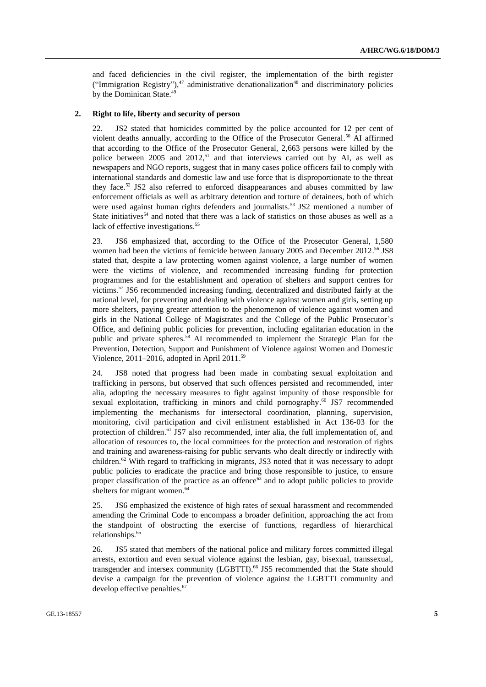and faced deficiencies in the civil register, the implementation of the birth register ("Immigration Registry"), $47$  administrative denationalization $48$  and discriminatory policies by the Dominican State.<sup>49</sup>

#### **2. Right to life, liberty and security of person**

22. JS2 stated that homicides committed by the police accounted for 12 per cent of violent deaths annually, according to the Office of the Prosecutor General. <sup>50</sup> AI affirmed that according to the Office of the Prosecutor General, 2,663 persons were killed by the police between 2005 and  $2012<sup>51</sup>$  and that interviews carried out by AI, as well as newspapers and NGO reports, suggest that in many cases police officers fail to comply with international standards and domestic law and use force that is disproportionate to the threat they face.<sup>52</sup> JS2 also referred to enforced disappearances and abuses committed by law enforcement officials as well as arbitrary detention and torture of detainees, both of which were used against human rights defenders and journalists.<sup>53</sup> JS2 mentioned a number of State initiatives<sup>54</sup> and noted that there was a lack of statistics on those abuses as well as a lack of effective investigations. 55

23. JS6 emphasized that, according to the Office of the Prosecutor General, 1,580 women had been the victims of femicide between January 2005 and December 2012.<sup>56</sup> JS8 stated that, despite a law protecting women against violence, a large number of women were the victims of violence, and recommended increasing funding for protection programmes and for the establishment and operation of shelters and support centres for victims. <sup>57</sup> JS6 recommended increasing funding, decentralized and distributed fairly at the national level, for preventing and dealing with violence against women and girls, setting up more shelters, paying greater attention to the phenomenon of violence against women and girls in the National College of Magistrates and the College of the Public Prosecutor's Office, and defining public policies for prevention, including egalitarian education in the public and private spheres.<sup>58</sup> AI recommended to implement the Strategic Plan for the Prevention, Detection, Support and Punishment of Violence against Women and Domestic Violence, 2011–2016, adopted in April 2011. 59

24. JS8 noted that progress had been made in combating sexual exploitation and trafficking in persons, but observed that such offences persisted and recommended, inter alia, adopting the necessary measures to fight against impunity of those responsible for sexual exploitation, trafficking in minors and child pornography.<sup>60</sup> JS7 recommended implementing the mechanisms for intersectoral coordination, planning, supervision, monitoring, civil participation and civil enlistment established in Act 136-03 for the protection of children.<sup>61</sup> JS7 also recommended, inter alia, the full implementation of, and allocation of resources to, the local committees for the protection and restoration of rights and training and awareness-raising for public servants who dealt directly or indirectly with children.<sup>62</sup> With regard to trafficking in migrants, JS3 noted that it was necessary to adopt public policies to eradicate the practice and bring those responsible to justice, to ensure proper classification of the practice as an offence<sup>63</sup> and to adopt public policies to provide shelters for migrant women. 64

25. JS6 emphasized the existence of high rates of sexual harassment and recommended amending the Criminal Code to encompass a broader definition, approaching the act from the standpoint of obstructing the exercise of functions, regardless of hierarchical relationships. 65

26. JS5 stated that members of the national police and military forces committed illegal arrests, extortion and even sexual violence against the lesbian, gay, bisexual, transsexual, transgender and intersex community (LGBTTI). <sup>66</sup> JS5 recommended that the State should devise a campaign for the prevention of violence against the LGBTTI community and develop effective penalties. 67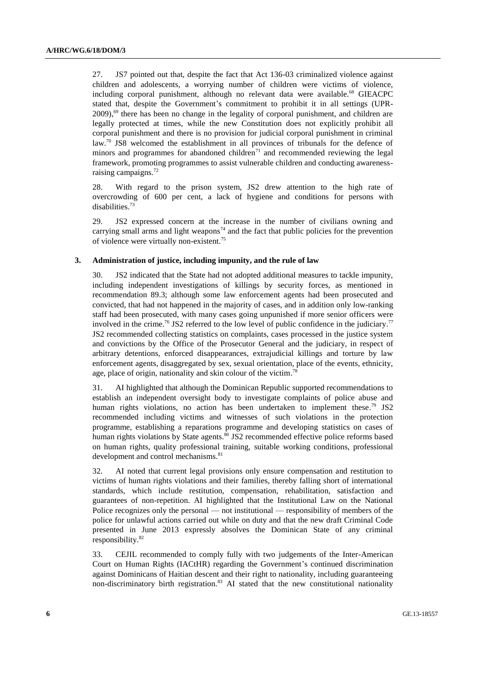27. JS7 pointed out that, despite the fact that Act 136-03 criminalized violence against children and adolescents, a worrying number of children were victims of violence, including corporal punishment, although no relevant data were available.<sup>68</sup> GIEACPC stated that, despite the Government's commitment to prohibit it in all settings (UPR-2009),<sup>69</sup> there has been no change in the legality of corporal punishment, and children are legally protected at times, while the new Constitution does not explicitly prohibit all corporal punishment and there is no provision for judicial corporal punishment in criminal law.<sup>70</sup> JS8 welcomed the establishment in all provinces of tribunals for the defence of minors and programmes for abandoned children $7<sup>1</sup>$  and recommended reviewing the legal framework, promoting programmes to assist vulnerable children and conducting awarenessraising campaigns.<sup>72</sup>

28. With regard to the prison system, JS2 drew attention to the high rate of overcrowding of 600 per cent, a lack of hygiene and conditions for persons with disabilities.<sup>73</sup>

29. JS2 expressed concern at the increase in the number of civilians owning and carrying small arms and light weapons<sup>74</sup> and the fact that public policies for the prevention of violence were virtually non-existent.<sup>75</sup>

#### **3. Administration of justice, including impunity, and the rule of law**

30. JS2 indicated that the State had not adopted additional measures to tackle impunity, including independent investigations of killings by security forces, as mentioned in recommendation 89.3; although some law enforcement agents had been prosecuted and convicted, that had not happened in the majority of cases, and in addition only low-ranking staff had been prosecuted, with many cases going unpunished if more senior officers were involved in the crime.<sup>76</sup> JS2 referred to the low level of public confidence in the judiciary.<sup>77</sup> JS2 recommended collecting statistics on complaints, cases processed in the justice system and convictions by the Office of the Prosecutor General and the judiciary, in respect of arbitrary detentions, enforced disappearances, extrajudicial killings and torture by law enforcement agents, disaggregated by sex, sexual orientation, place of the events, ethnicity, age, place of origin, nationality and skin colour of the victim.<sup>78</sup>

31. AI highlighted that although the Dominican Republic supported recommendations to establish an independent oversight body to investigate complaints of police abuse and human rights violations, no action has been undertaken to implement these.<sup>79</sup> JS2 recommended including victims and witnesses of such violations in the protection programme, establishing a reparations programme and developing statistics on cases of human rights violations by State agents.<sup>80</sup> JS2 recommended effective police reforms based on human rights, quality professional training, suitable working conditions, professional development and control mechanisms.<sup>81</sup>

32. AI noted that current legal provisions only ensure compensation and restitution to victims of human rights violations and their families, thereby falling short of international standards, which include restitution, compensation, rehabilitation, satisfaction and guarantees of non-repetition. AI highlighted that the Institutional Law on the National Police recognizes only the personal — not institutional — responsibility of members of the police for unlawful actions carried out while on duty and that the new draft Criminal Code presented in June 2013 expressly absolves the Dominican State of any criminal responsibility.<sup>82</sup>

33. CEJIL recommended to comply fully with two judgements of the Inter-American Court on Human Rights (IACtHR) regarding the Government's continued discrimination against Dominicans of Haitian descent and their right to nationality, including guaranteeing non-discriminatory birth registration.<sup>83</sup> AI stated that the new constitutional nationality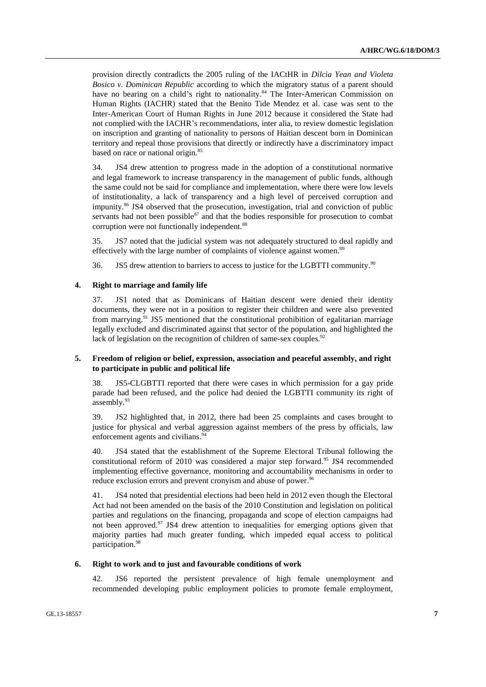provision directly contradicts the 2005 ruling of the IACtHR in *Dilcia Yean and Violeta Bosico v. Dominican Republic* according to which the migratory status of a parent should have no bearing on a child's right to nationality.<sup>84</sup> The Inter-American Commission on Human Rights (IACHR) stated that the Benito Tide Mendez et al. case was sent to the Inter-American Court of Human Rights in June 2012 because it considered the State had not complied with the IACHR's recommendations, inter alia, to review domestic legislation on inscription and granting of nationality to persons of Haitian descent born in Dominican territory and repeal those provisions that directly or indirectly have a discriminatory impact based on race or national origin.<sup>85</sup>

34. JS4 drew attention to progress made in the adoption of a constitutional normative and legal framework to increase transparency in the management of public funds, although the same could not be said for compliance and implementation, where there were low levels of institutionality, a lack of transparency and a high level of perceived corruption and impunity. <sup>86</sup> JS4 observed that the prosecution, investigation, trial and conviction of public servants had not been possible $87$  and that the bodies responsible for prosecution to combat corruption were not functionally independent.<sup>88</sup>

35. JS7 noted that the judicial system was not adequately structured to deal rapidly and effectively with the large number of complaints of violence against women.<sup>89</sup>

36. JS5 drew attention to barriers to access to justice for the LGBTTI community.<sup>90</sup>

## **4. Right to marriage and family life**

37. JS1 noted that as Dominicans of Haitian descent were denied their identity documents, they were not in a position to register their children and were also prevented from marrying.<sup>91</sup> JS5 mentioned that the constitutional prohibition of egalitarian marriage legally excluded and discriminated against that sector of the population, and highlighted the lack of legislation on the recognition of children of same-sex couples.<sup>92</sup>

## **5. Freedom of religion or belief, expression, association and peaceful assembly, and right to participate in public and political life**

38. JS5-CLGBTTI reported that there were cases in which permission for a gay pride parade had been refused, and the police had denied the LGBTTI community its right of assembly. 93

39. JS2 highlighted that, in 2012, there had been 25 complaints and cases brought to justice for physical and verbal aggression against members of the press by officials, law enforcement agents and civilians.<sup>94</sup>

40. JS4 stated that the establishment of the Supreme Electoral Tribunal following the constitutional reform of 2010 was considered a major step forward.<sup>95</sup> JS4 recommended implementing effective governance, monitoring and accountability mechanisms in order to reduce exclusion errors and prevent cronyism and abuse of power.<sup>96</sup>

41. JS4 noted that presidential elections had been held in 2012 even though the Electoral Act had not been amended on the basis of the 2010 Constitution and legislation on political parties and regulations on the financing, propaganda and scope of election campaigns had not been approved. <sup>97</sup> JS4 drew attention to inequalities for emerging options given that majority parties had much greater funding, which impeded equal access to political participation. 98

#### **6. Right to work and to just and favourable conditions of work**

42. JS6 reported the persistent prevalence of high female unemployment and recommended developing public employment policies to promote female employment,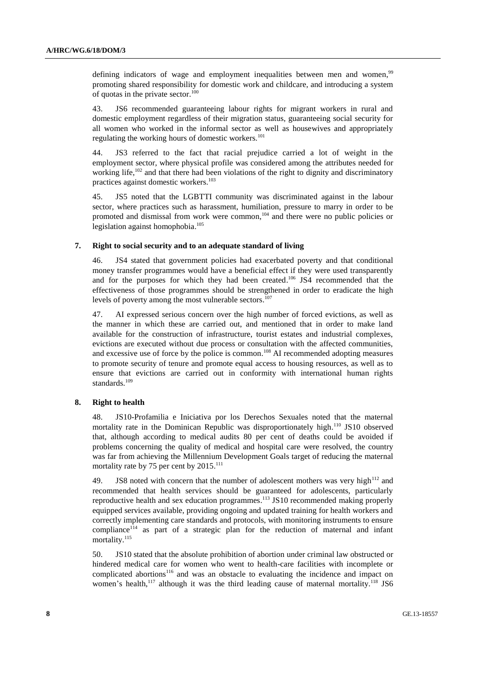defining indicators of wage and employment inequalities between men and women,<sup>99</sup> promoting shared responsibility for domestic work and childcare, and introducing a system of quotas in the private sector. $100$ 

43. JS6 recommended guaranteeing labour rights for migrant workers in rural and domestic employment regardless of their migration status, guaranteeing social security for all women who worked in the informal sector as well as housewives and appropriately regulating the working hours of domestic workers.<sup>101</sup>

44. JS3 referred to the fact that racial prejudice carried a lot of weight in the employment sector, where physical profile was considered among the attributes needed for working life,<sup>102</sup> and that there had been violations of the right to dignity and discriminatory practices against domestic workers. 103

45. JS5 noted that the LGBTTI community was discriminated against in the labour sector, where practices such as harassment, humiliation, pressure to marry in order to be promoted and dismissal from work were common,<sup>104</sup> and there were no public policies or legislation against homophobia. 105

## **7. Right to social security and to an adequate standard of living**

46. JS4 stated that government policies had exacerbated poverty and that conditional money transfer programmes would have a beneficial effect if they were used transparently and for the purposes for which they had been created.<sup>106</sup> JS4 recommended that the effectiveness of those programmes should be strengthened in order to eradicate the high levels of poverty among the most vulnerable sectors. 107

47. AI expressed serious concern over the high number of forced evictions, as well as the manner in which these are carried out, and mentioned that in order to make land available for the construction of infrastructure, tourist estates and industrial complexes, evictions are executed without due process or consultation with the affected communities, and excessive use of force by the police is common. <sup>108</sup> AI recommended adopting measures to promote security of tenure and promote equal access to housing resources, as well as to ensure that evictions are carried out in conformity with international human rights standards. 109

#### **8. Right to health**

48. JS10-Profamilia e Iniciativa por los Derechos Sexuales noted that the maternal mortality rate in the Dominican Republic was disproportionately high.<sup>110</sup> JS10 observed that, although according to medical audits 80 per cent of deaths could be avoided if problems concerning the quality of medical and hospital care were resolved, the country was far from achieving the Millennium Development Goals target of reducing the maternal mortality rate by 75 per cent by 2015.<sup>111</sup>

49. JS8 noted with concern that the number of adolescent mothers was very high $112$  and recommended that health services should be guaranteed for adolescents, particularly reproductive health and sex education programmes.<sup>113</sup> JS10 recommended making properly equipped services available, providing ongoing and updated training for health workers and correctly implementing care standards and protocols, with monitoring instruments to ensure compliance<sup>114</sup> as part of a strategic plan for the reduction of maternal and infant mortality.<sup>115</sup>

50. JS10 stated that the absolute prohibition of abortion under criminal law obstructed or hindered medical care for women who went to health-care facilities with incomplete or complicated abortions<sup>116</sup> and was an obstacle to evaluating the incidence and impact on women's health,<sup>117</sup> although it was the third leading cause of maternal mortality.<sup>118</sup> JS6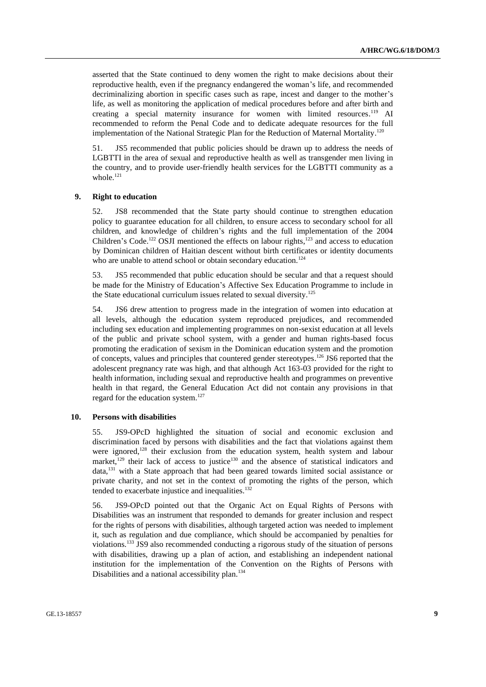asserted that the State continued to deny women the right to make decisions about their reproductive health, even if the pregnancy endangered the woman's life, and recommended decriminalizing abortion in specific cases such as rape, incest and danger to the mother's life, as well as monitoring the application of medical procedures before and after birth and creating a special maternity insurance for women with limited resources.<sup>119</sup> AI recommended to reform the Penal Code and to dedicate adequate resources for the full implementation of the National Strategic Plan for the Reduction of Maternal Mortality.<sup>120</sup>

51. JS5 recommended that public policies should be drawn up to address the needs of LGBTTI in the area of sexual and reproductive health as well as transgender men living in the country, and to provide user-friendly health services for the LGBTTI community as a whole.<sup>121</sup>

#### **9. Right to education**

52. JS8 recommended that the State party should continue to strengthen education policy to guarantee education for all children, to ensure access to secondary school for all children, and knowledge of children's rights and the full implementation of the 2004 Children's Code.<sup>122</sup> OSJI mentioned the effects on labour rights, $123$  and access to education by Dominican children of Haitian descent without birth certificates or identity documents who are unable to attend school or obtain secondary education.<sup>124</sup>

53. JS5 recommended that public education should be secular and that a request should be made for the Ministry of Education's Affective Sex Education Programme to include in the State educational curriculum issues related to sexual diversity.<sup>125</sup>

54. JS6 drew attention to progress made in the integration of women into education at all levels, although the education system reproduced prejudices, and recommended including sex education and implementing programmes on non-sexist education at all levels of the public and private school system, with a gender and human rights-based focus promoting the eradication of sexism in the Dominican education system and the promotion of concepts, values and principles that countered gender stereotypes.<sup>126</sup> JS6 reported that the adolescent pregnancy rate was high, and that although Act 163-03 provided for the right to health information, including sexual and reproductive health and programmes on preventive health in that regard, the General Education Act did not contain any provisions in that regard for the education system.<sup>127</sup>

#### **10. Persons with disabilities**

55. JS9-OPcD highlighted the situation of social and economic exclusion and discrimination faced by persons with disabilities and the fact that violations against them were ignored,<sup>128</sup> their exclusion from the education system, health system and labour market,<sup>129</sup> their lack of access to justice<sup>130</sup> and the absence of statistical indicators and data,<sup>131</sup> with a State approach that had been geared towards limited social assistance or private charity, and not set in the context of promoting the rights of the person, which tended to exacerbate injustice and inequalities. 132

56. JS9-OPcD pointed out that the Organic Act on Equal Rights of Persons with Disabilities was an instrument that responded to demands for greater inclusion and respect for the rights of persons with disabilities, although targeted action was needed to implement it, such as regulation and due compliance, which should be accompanied by penalties for violations. <sup>133</sup> JS9 also recommended conducting a rigorous study of the situation of persons with disabilities, drawing up a plan of action, and establishing an independent national institution for the implementation of the Convention on the Rights of Persons with Disabilities and a national accessibility plan. 134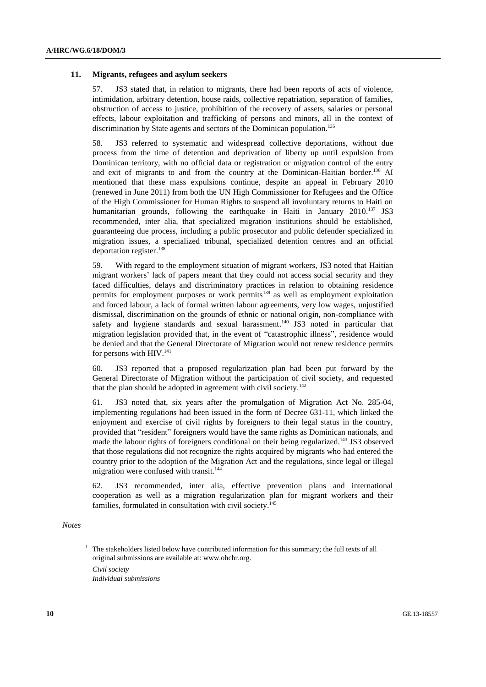#### **11. Migrants, refugees and asylum seekers**

57. JS3 stated that, in relation to migrants, there had been reports of acts of violence, intimidation, arbitrary detention, house raids, collective repatriation, separation of families, obstruction of access to justice, prohibition of the recovery of assets, salaries or personal effects, labour exploitation and trafficking of persons and minors, all in the context of discrimination by State agents and sectors of the Dominican population.<sup>135</sup>

58. JS3 referred to systematic and widespread collective deportations, without due process from the time of detention and deprivation of liberty up until expulsion from Dominican territory, with no official data or registration or migration control of the entry and exit of migrants to and from the country at the Dominican-Haitian border.<sup>136</sup> AI mentioned that these mass expulsions continue, despite an appeal in February 2010 (renewed in June 2011) from both the UN High Commissioner for Refugees and the Office of the High Commissioner for Human Rights to suspend all involuntary returns to Haiti on humanitarian grounds, following the earthquake in Haiti in January 2010.<sup>137</sup> JS3 recommended, inter alia, that specialized migration institutions should be established, guaranteeing due process, including a public prosecutor and public defender specialized in migration issues, a specialized tribunal, specialized detention centres and an official deportation register. 138

59. With regard to the employment situation of migrant workers, JS3 noted that Haitian migrant workers' lack of papers meant that they could not access social security and they faced difficulties, delays and discriminatory practices in relation to obtaining residence permits for employment purposes or work permits<sup>139</sup> as well as employment exploitation and forced labour, a lack of formal written labour agreements, very low wages, unjustified dismissal, discrimination on the grounds of ethnic or national origin, non-compliance with safety and hygiene standards and sexual harassment.<sup>140</sup> JS3 noted in particular that migration legislation provided that, in the event of "catastrophic illness", residence would be denied and that the General Directorate of Migration would not renew residence permits for persons with HIV.<sup>141</sup>

60. JS3 reported that a proposed regularization plan had been put forward by the General Directorate of Migration without the participation of civil society, and requested that the plan should be adopted in agreement with civil society.<sup>142</sup>

61. JS3 noted that, six years after the promulgation of Migration Act No. 285-04, implementing regulations had been issued in the form of Decree 631-11, which linked the enjoyment and exercise of civil rights by foreigners to their legal status in the country, provided that "resident" foreigners would have the same rights as Dominican nationals, and made the labour rights of foreigners conditional on their being regularized.<sup>143</sup> JS3 observed that those regulations did not recognize the rights acquired by migrants who had entered the country prior to the adoption of the Migration Act and the regulations, since legal or illegal migration were confused with transit. 144

62. JS3 recommended, inter alia, effective prevention plans and international cooperation as well as a migration regularization plan for migrant workers and their families, formulated in consultation with civil society. 145

#### *Notes*

 $1$  The stakeholders listed below have contributed information for this summary; the full texts of all original submissions are available at: [www.ohchr.org.](http://www.ohchr.org/)

*Civil society*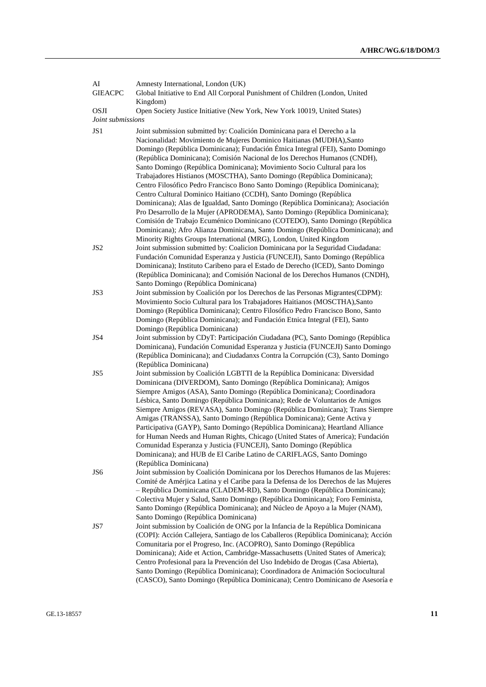| AI<br><b>GIEACPC</b>             | Amnesty International, London (UK)<br>Global Initiative to End All Corporal Punishment of Children (London, United                                                                                                                                                                                                                                                                                                                                                                                                                                                                                                                                                                                                                                                                                                    |
|----------------------------------|-----------------------------------------------------------------------------------------------------------------------------------------------------------------------------------------------------------------------------------------------------------------------------------------------------------------------------------------------------------------------------------------------------------------------------------------------------------------------------------------------------------------------------------------------------------------------------------------------------------------------------------------------------------------------------------------------------------------------------------------------------------------------------------------------------------------------|
| <b>OSJI</b><br>Joint submissions | Kingdom)<br>Open Society Justice Initiative (New York, New York 10019, United States)                                                                                                                                                                                                                                                                                                                                                                                                                                                                                                                                                                                                                                                                                                                                 |
| JS <sub>1</sub>                  | Joint submission submitted by: Coalición Dominicana para el Derecho a la<br>Nacionalidad: Movimiento de Mujeres Dominico Haitianas (MUDHA), Santo<br>Domingo (República Dominicana); Fundación Étnica Integral (FEI), Santo Domingo<br>(República Dominicana); Comisión Nacional de los Derechos Humanos (CNDH),<br>Santo Domingo (República Dominicana); Movimiento Socio Cultural para los<br>Trabajadores Histianos (MOSCTHA), Santo Domingo (República Dominicana);<br>Centro Filosófico Pedro Francisco Bono Santo Domingo (República Dominicana);<br>Centro Cultural Dominico Haitiano (CCDH), Santo Domingo (República<br>Dominicana); Alas de Igualdad, Santo Domingo (República Dominicana); Asociación                                                                                                      |
|                                  | Pro Desarrollo de la Mujer (APRODEMA), Santo Domingo (República Dominicana);<br>Comisión de Trabajo Ecuménico Dominicano (COTEDO), Santo Domingo (República<br>Dominicana); Afro Alianza Dominicana, Santo Domingo (República Dominicana); and<br>Minority Rights Groups International (MRG), London, United Kingdom                                                                                                                                                                                                                                                                                                                                                                                                                                                                                                  |
| JS <sub>2</sub>                  | Joint submission submitted by: Coalicion Dominicana por la Seguridad Ciudadana:<br>Fundación Comunidad Esperanza y Justicia (FUNCEJI), Santo Domingo (República<br>Dominicana); Instituto Caribeno para el Estado de Derecho (ICED), Santo Domingo<br>(República Dominicana); and Comisión Nacional de los Derechos Humanos (CNDH),<br>Santo Domingo (República Dominicana)                                                                                                                                                                                                                                                                                                                                                                                                                                           |
| JS3                              | Joint submission by Coalición por los Derechos de las Personas Migrantes(CDPM):<br>Movimiento Socio Cultural para los Trabajadores Haitianos (MOSCTHA), Santo<br>Domingo (República Dominicana); Centro Filosófico Pedro Francisco Bono, Santo<br>Domingo (República Dominicana); and Fundación Etnica Integral (FEI), Santo<br>Domingo (República Dominicana)                                                                                                                                                                                                                                                                                                                                                                                                                                                        |
| JS4                              | Joint submission by CDyT: Participación Ciudadana (PC), Santo Domingo (República<br>Dominicana), Fundación Comunidad Esperanza y Justicia (FUNCEJI) Santo Domingo<br>(República Dominicana); and Ciudadanxs Contra la Corrupción (C3), Santo Domingo<br>(República Dominicana)                                                                                                                                                                                                                                                                                                                                                                                                                                                                                                                                        |
| JS5                              | Joint submission by Coalición LGBTTI de la República Dominicana: Diversidad<br>Dominicana (DIVERDOM), Santo Domingo (República Dominicana); Amigos<br>Siempre Amigos (ASA), Santo Domingo (República Dominicana); Coordinadora<br>Lésbica, Santo Domingo (República Dominicana); Rede de Voluntarios de Amigos<br>Siempre Amigos (REVASA), Santo Domingo (República Dominicana); Trans Siempre<br>Amigas (TRANSSA), Santo Domingo (República Dominicana); Gente Activa y<br>Participativa (GAYP), Santo Domingo (República Dominicana); Heartland Alliance<br>for Human Needs and Human Rights, Chicago (United States of America); Fundación<br>Comunidad Esperanza y Justicia (FUNCEJI), Santo Domingo (República<br>Dominicana); and HUB de El Caribe Latino de CARIFLAGS, Santo Domingo<br>(República Dominicana) |
| JS6                              | Joint submission by Coalición Dominicana por los Derechos Humanos de las Mujeres:<br>Comité de Amérjica Latina y el Caribe para la Defensa de los Derechos de las Mujeres<br>- República Dominicana (CLADEM-RD), Santo Domingo (República Dominicana);<br>Colectiva Mujer y Salud, Santo Domingo (República Dominicana); Foro Feminista,<br>Santo Domingo (República Dominicana); and Núcleo de Apoyo a la Mujer (NAM),<br>Santo Domingo (República Dominicana)                                                                                                                                                                                                                                                                                                                                                       |
| JS7                              | Joint submission by Coalición de ONG por la Infancia de la República Dominicana<br>(COPI): Acción Callejera, Santiago de los Caballeros (República Dominicana); Acción<br>Comunitaria por el Progreso, Inc. (ACOPRO), Santo Domingo (República<br>Dominicana); Aide et Action, Cambridge-Massachusetts (United States of America);<br>Centro Profesional para la Prevención del Uso Indebido de Drogas (Casa Abierta),<br>Santo Domingo (República Dominicana); Coordinadora de Animación Sociocultural<br>(CASCO), Santo Domingo (República Dominicana); Centro Dominicano de Asesoría e                                                                                                                                                                                                                             |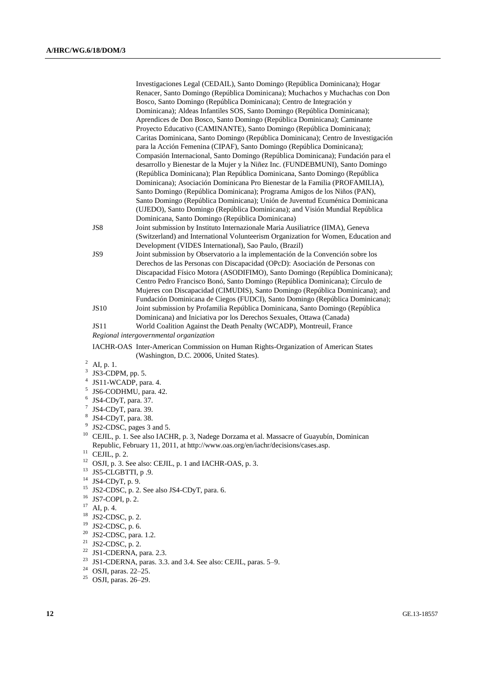|   |                                         | Investigaciones Legal (CEDAIL), Santo Domingo (República Dominicana); Hogar         |
|---|-----------------------------------------|-------------------------------------------------------------------------------------|
|   |                                         | Renacer, Santo Domingo (República Dominicana); Muchachos y Muchachas con Don        |
|   |                                         | Bosco, Santo Domingo (República Dominicana); Centro de Integración y                |
|   |                                         | Dominicana); Aldeas Infantiles SOS, Santo Domingo (República Dominicana);           |
|   |                                         | Aprendices de Don Bosco, Santo Domingo (República Dominicana); Caminante            |
|   |                                         | Proyecto Educativo (CAMINANTE), Santo Domingo (República Dominicana);               |
|   |                                         | Caritas Dominicana, Santo Domingo (República Dominicana); Centro de Investigación   |
|   |                                         | para la Acción Femenina (CIPAF), Santo Domingo (República Dominicana);              |
|   |                                         | Compasión Internacional, Santo Domingo (República Dominicana); Fundación para el    |
|   |                                         | desarrollo y Bienestar de la Mujer y la Niñez Inc. (FUNDEBMUNI), Santo Domingo      |
|   |                                         | (República Dominicana); Plan República Dominicana, Santo Domingo (República         |
|   |                                         | Dominicana); Asociación Dominicana Pro Bienestar de la Familia (PROFAMILIA),        |
|   |                                         | Santo Domingo (República Dominicana); Programa Amigos de los Niños (PAN),           |
|   |                                         | Santo Domingo (República Dominicana); Unión de Juventud Ecuménica Dominicana        |
|   |                                         | (UJEDO), Santo Domingo (República Dominicana); and Visión Mundial República         |
|   |                                         | Dominicana, Santo Domingo (República Dominicana)                                    |
|   | JS8                                     | Joint submission by Instituto Internazionale Maria Ausiliatrice (IIMA), Geneva      |
|   |                                         | (Switzerland) and International Volunteerism Organization for Women, Education and  |
|   |                                         | Development (VIDES International), Sao Paulo, (Brazil)                              |
|   | JS9                                     | Joint submission by Observatorio a la implementación de la Convención sobre los     |
|   |                                         | Derechos de las Personas con Discapacidad (OPcD): Asociación de Personas con        |
|   |                                         | Discapacidad Físico Motora (ASODIFIMO), Santo Domingo (República Dominicana);       |
|   |                                         | Centro Pedro Francisco Bonó, Santo Domingo (República Dominicana); Círculo de       |
|   |                                         | Mujeres con Discapacidad (CIMUDIS), Santo Domingo (República Dominicana); and       |
|   |                                         | Fundación Dominicana de Ciegos (FUDCI), Santo Domingo (República Dominicana);       |
|   | <b>JS10</b>                             | Joint submission by Profamilia República Dominicana, Santo Domingo (República       |
|   |                                         | Dominicana) and Iniciativa por los Derechos Sexuales, Ottawa (Canada)               |
|   | <b>JS11</b>                             | World Coalition Against the Death Penalty (WCADP), Montreuil, France                |
|   | Regional intergovernmental organization |                                                                                     |
|   |                                         | IACHR-OAS Inter-American Commission on Human Rights-Organization of American States |
|   |                                         | (Washington, D.C. 20006, United States).                                            |
|   | $^{2}$ AI, p. 1.                        |                                                                                     |
| 3 | $IS3$ -CDPM nn 5                        |                                                                                     |

- JS3-CDPM, pp. 5.
- 4 JS11-WCADP, para. 4.
- 5 JS6-CODHMU, para. 42.
- 6 JS4-CDyT, para. 37.
- $7$  JS4-CDyT, para. 39.
- 8 JS4-CDyT, para. 38.
- <sup>9</sup> JS2-CDSC, pages 3 and 5.
- 
- <sup>10</sup> CEJIL, p. 1. See also IACHR, p. 3, Nadege Dorzama et al. Massacre of Guayubín, Dominican Republic, February 11, 2011, at http://www.oas.org/en/iachr/decisions/cases.asp.
- $11$  CEJIL, p. 2.
- $12$  OSJI, p. 3. See also: CEJIL, p. 1 and IACHR-OAS, p. 3.
- $13$  JS5-CLGBTTI, p.9.
- $14$  JS4-CDyT, p. 9.
- <sup>15</sup> JS2-CDSC, p. 2. See also JS4-CDyT, para. 6.
- <sup>16</sup> JS7-COPI, p. 2.
- $17$  AI, p. 4.
- <sup>18</sup> JS2-CDSC, p. 2.
- <sup>19</sup> JS2-CDSC, p. 6.
- $20$  JS2-CDSC, para. 1.2.
- <sup>21</sup> JS2-CDSC, p. 2.
- $22$  JS1-CDERNA, para. 2.3.
- $23$  JS1-CDERNA, paras. 3.3. and 3.4. See also: CEJIL, paras. 5–9.
- <sup>24</sup> OSJI, paras. 22–25.
- <sup>25</sup> OSJI, paras. 26–29.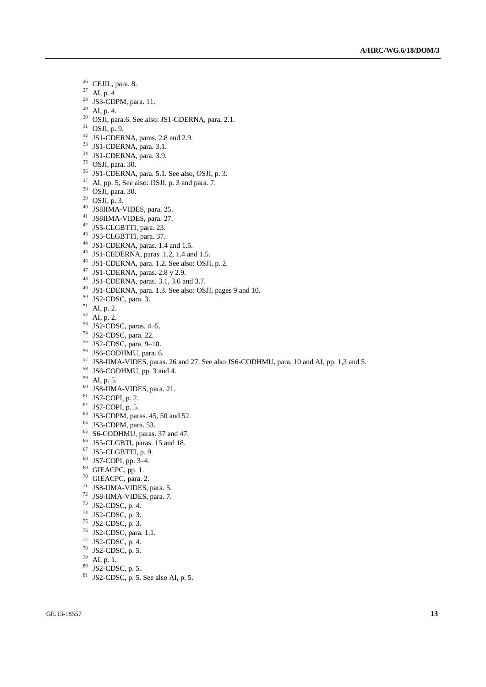- CEJIL, para. 8.
- AI, p. 4
- <sup>28</sup> JS3-CDPM, para. 11.
- AI, p. 4.
- OSJI, para.6. See also: JS1-CDERNA, para. 2.1.
- OSJI, p. 9.
- JS1-CDERNA, paras. 2.8 and 2.9.
- <sup>33</sup> JS1-CDERNA, para. 3.1.
- <sup>34</sup> JS1-CDERNA, para. 3.9.
- OSJI, para. 30.
- JS1-CDERNA, para. 5.1. See also, OSJI, p. 3.
- AI, pp. 5, See also: OSJI, p. 3 and para. 7.
- OSJI, para. 30.
- OSJI, p. 3.
- JS8IIMA-VIDES, para. 25.
- JS8IIMA-VIDES, para. 27.
- JS5-CLGBTTI, para. 23.
- JS5-CLGBTTI, para. 37.
- JS1-CDERNA, paras. 1.4 and 1.5.
- JS1-CEDERNA, paras .1.2, 1.4 and 1.5.
- JS1-CDERNA, para. 1.2. See also: OSJI, p. 2.
- JS1-CDERNA, paras. 2.8 y 2.9.
- JS1-CDERNA, paras. 3.1, 3.6 and 3.7.
- JS1-CDERNA, para. 1.3. See also: OSJI, pages 9 and 10.
- JS2-CDSC, para. 3.
- AI, p. 2.
- AI, p. 2.
- JS2-CDSC, paras. 4–5.
- JS2-CDSC, para. 22.
- JS2-CDSC, para. 9–10.
- <sup>56</sup> JS6-CODHMU, para. 6.
- JS8-IIMA-VIDES, paras. 26 and 27. See also JS6-CODHMU, para. 10 and AI, pp. 1,3 and 5.
- JS6-CODHMU, pp. 3 and 4.
- AI, p. 5.
- JS8-IIMA-VIDES, para. 21.
- JS7-COPI, p. 2.
- JS7-COPI, p. 5.
- JS3-CDPM, paras. 45, 50 and 52.
- JS3-CDPM, para. 53.
- S6-CODHMU, paras. 37 and 47.
- JS5-CLGBTI, paras. 15 and 18.
- JS5-CLGBTTI, p. 9.
- JS7-COPI, pp. 3–4.
- GIEACPC, pp. 1.
- GIEACPC, para. 2.
- JS8-IIMA-VIDES, para. 5.
- JS8-IIMA-VIDES, para. 7.
- JS2-CDSC, p. 4.
- JS2-CDSC, p. 3.
- JS2-CDSC, p. 3.
- JS2-CDSC, para. 1.1.
- JS2-CDSC, p. 4.
- JS2-CDSC, p. 5.
- AI, p. 1.
- 
- JS2-CDSC, p. 5. JS2-CDSC, p. 5. See also AI, p. 5.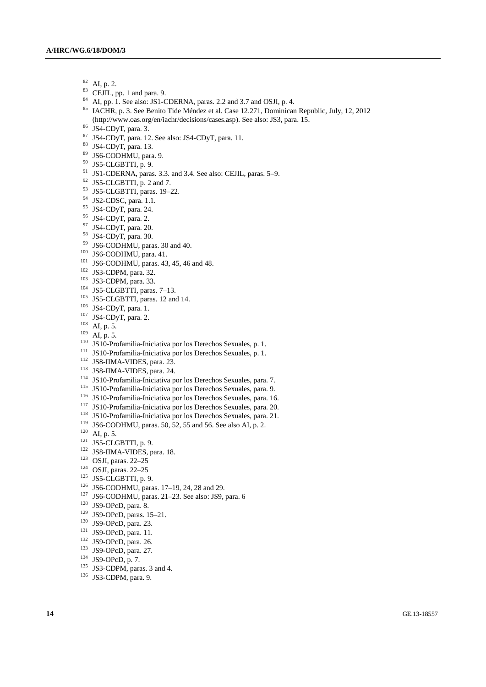- $^{82}$  AI, p. 2.<br> $^{83}$  CEII
- CEJIL, pp. 1 and para. 9.
- AI, pp. 1. See also: JS1-CDERNA, paras. 2.2 and 3.7 and OSJI, p. 4.
- IACHR, p. 3. See Benito Tide Méndez et al. Case 12.271, Dominican Republic, July, 12, 2012 [\(http://www.oas.org/en/iachr/decisions/cases.asp\)](http://www.oas.org/en/iachr/decisions/cases.asp). See also: JS3, para. 15.
- JS4-CDyT, para. 3.
- JS4-CDyT, para. 12. See also: JS4-CDyT, para. 11.
- JS4-CDyT, para. 13.
- JS6-CODHMU, para. 9.
- JS5-CLGBTTI, p. 9.
- JS1-CDERNA, paras. 3.3. and 3.4. See also: CEJIL, paras. 5–9.
- JS5-CLGBTTI, p. 2 and 7.
- JS5-CLGBTTI, paras. 19–22.
- JS2-CDSC, para. 1.1.
- JS4-CDyT, para. 24.
- JS4-CDyT, para. 2.
- JS4-CDyT, para. 20.
- JS4-CDyT, para. 30.
- JS6-CODHMU, paras. 30 and 40.
- JS6-CODHMU, para. 41.
- <sup>101</sup> JS6-CODHMU, paras. 43, 45, 46 and 48.
- JS3-CDPM, para. 32.
- JS3-CDPM, para. 33.
- JS5-CLGBTTI, paras. 7–13.
- <sup>105</sup> JS5-CLGBTTI, paras. 12 and 14.
- JS4-CDyT, para. 1.
- <sup>107</sup> JS4-CDyT, para. 2.
- AI, p. 5.
- AI, p. 5.
- JS10-Profamilia-Iniciativa por los Derechos Sexuales, p. 1.
- JS10-Profamilia-Iniciativa por los Derechos Sexuales, p. 1.
- JS8-IIMA-VIDES, para. 23.
- JS8-IIMA-VIDES, para. 24.
- JS10-Profamilia-Iniciativa por los Derechos Sexuales, para. 7.
- JS10-Profamilia-Iniciativa por los Derechos Sexuales, para. 9.
- JS10-Profamilia-Iniciativa por los Derechos Sexuales, para. 16.
- JS10-Profamilia-Iniciativa por los Derechos Sexuales, para. 20.
- JS10-Profamilia-Iniciativa por los Derechos Sexuales, para. 21.
- JS6-CODHMU, paras. 50, 52, 55 and 56. See also AI, p. 2.
- AI, p. 5.
- JS5-CLGBTTI, p. 9.
- JS8-IIMA-VIDES, para. 18.
- OSJI, paras. 22–25
- OSJI, paras. 22–25
- JS5-CLGBTTI, p. 9.
- JS6-CODHMU, paras. 17–19, 24, 28 and 29.
- 
- JS6-CODHMU, paras. 21–23. See also: JS9, para. 6
- JS9-OPcD, para. 8.
- JS9-OPcD, paras. 15–21.
- JS9-OPcD, para. 23.
- JS9-OPcD, para. 11.
- JS9-OPcD, para. 26.
- JS9-OPcD, para. 27.
- JS9-OPcD, p. 7.
- JS3-CDPM, paras. 3 and 4.
- 136 JS3-CDPM, para. 9.